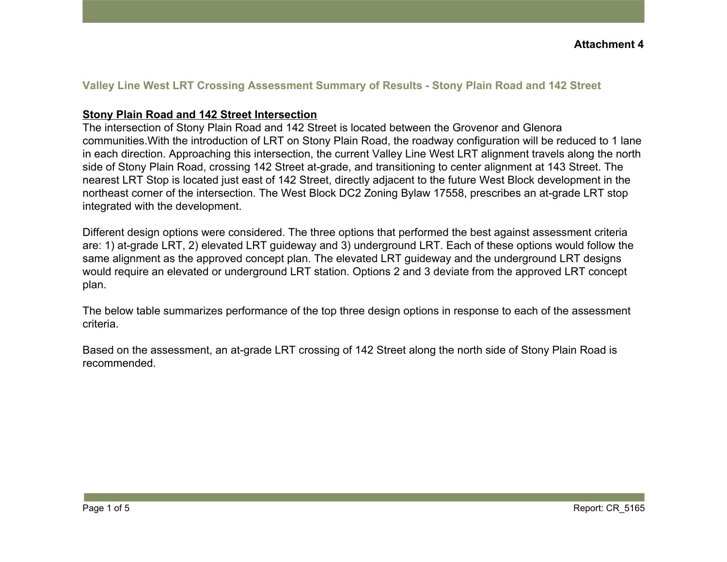#### **Valley Line West LRT Crossing Assessment Summary of Results - Stony Plain Road and 142 Street**

#### **Stony Plain Road and 142 Street Intersection**

The intersection of Stony Plain Road and 142 Street is located between the Grovenor and Glenora communities.With the introduction of LRT on Stony Plain Road, the roadway configuration will be reduced to 1 lane in each direction. Approaching this intersection, the current Valley Line West LRT alignment travels along the north side of Stony Plain Road, crossing 142 Street at-grade, and transitioning to center alignment at 143 Street. The nearest LRT Stop is located just east of 142 Street, directly adjacent to the future West Block development in the northeast corner of the intersection. The West Block DC2 Zoning Bylaw 17558, prescribes an at-grade LRT stop integrated with the development.

Different design options were considered. The three options that performed the best against assessment criteria are: 1) at-grade LRT, 2) elevated LRT guideway and 3) underground LRT. Each of these options would follow the same alignment as the approved concept plan. The elevated LRT guideway and the underground LRT designs would require an elevated or underground LRT station. Options 2 and 3 deviate from the approved LRT concept plan.

The below table summarizes performance of the top three design options in response to each of the assessment criteria.

Based on the assessment, an at-grade LRT crossing of 142 Street along the north side of Stony Plain Road is recommended.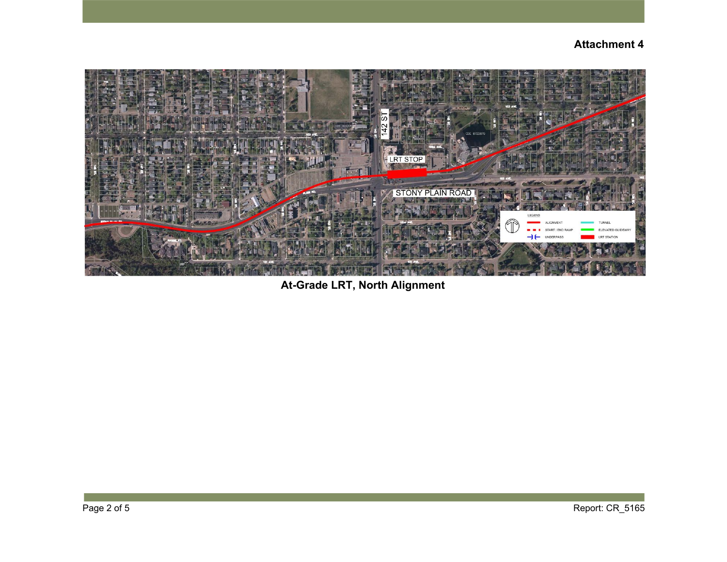

**At-Grade LRT, North Alignment**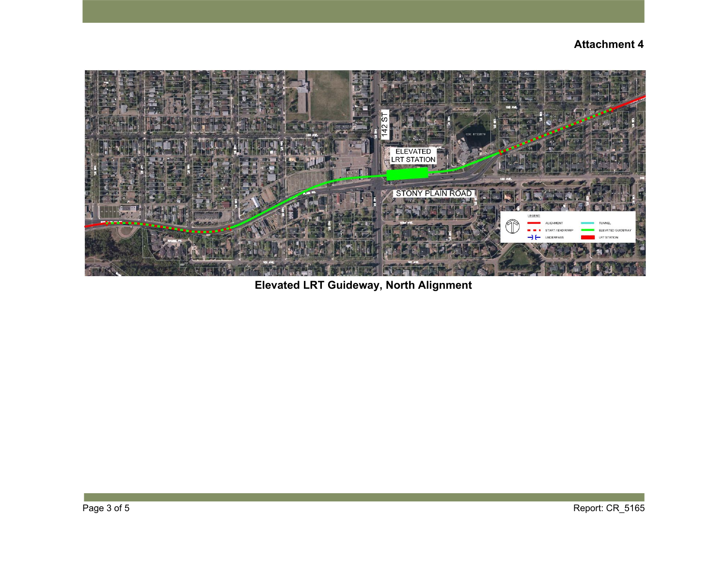

**Elevated LRT Guideway, North Alignment**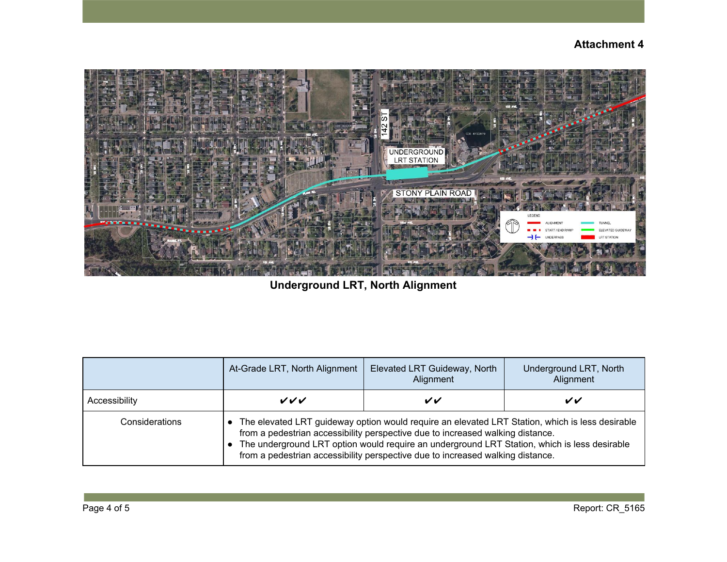

**Underground LRT, North Alignment**

|                | At-Grade LRT, North Alignment                                                                                                                                                                                                                                                                                                                                       | Elevated LRT Guideway, North<br>Alignment | Underground LRT, North<br>Alignment |
|----------------|---------------------------------------------------------------------------------------------------------------------------------------------------------------------------------------------------------------------------------------------------------------------------------------------------------------------------------------------------------------------|-------------------------------------------|-------------------------------------|
| Accessibility  | ンンン                                                                                                                                                                                                                                                                                                                                                                 | VV                                        | VV                                  |
| Considerations | The elevated LRT guideway option would require an elevated LRT Station, which is less desirable<br>from a pedestrian accessibility perspective due to increased walking distance.<br>The underground LRT option would require an underground LRT Station, which is less desirable<br>from a pedestrian accessibility perspective due to increased walking distance. |                                           |                                     |